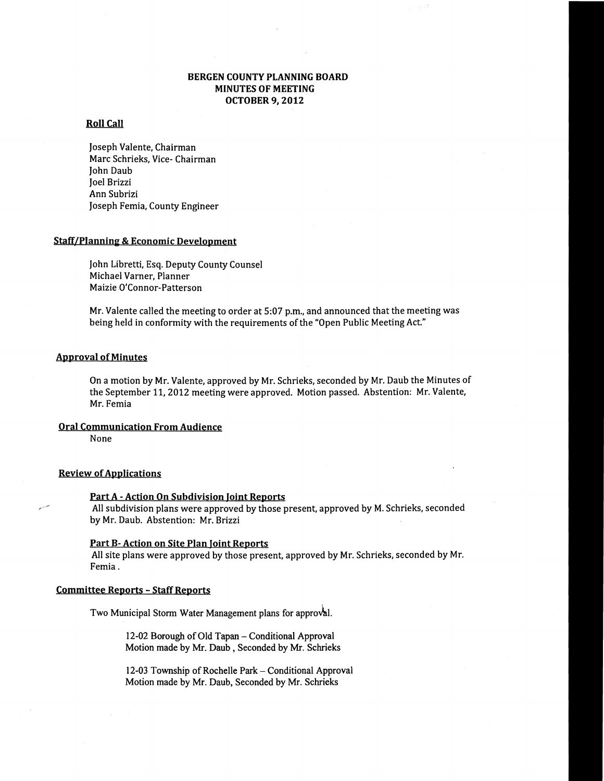# BERGEN COUNTY PLANNING BOARD MINUTES OF MEETING OCTOBER 9, 2012

## Roll Call

Joseph Valente, Chairman Marc Schrieks, Vice- Chairman John Daub Joel Brizzi Ann Subrizi Joseph Femia, County Engineer

# Staff/Planning & Economic Development

John Libretti, Esq. Deputy County Counsel Michael Varner, Planner Maizie O'Connor-Patterson

Mr. Valente called the meeting to order at 5:07 p.m., and announced that the meeting was being held in conformity with the requirements of the "Open Public Meeting Act."

## Approval of Minutes

On a motion by Mr. Valente, approved by Mr. Schrieks, seconded by Mr. Daub the Minutes of the September 11, 2012 meeting were approved. Motion passed. Abstention: Mr. Valente, Mr. Femia

#### Oral Communication From Audience

None

## **Review of Applications**

#### Part A - Action On Subdivision Joint Reports

All subdivision plans were approved by those present, approved by M. Schrieks, seconded by Mr. Daub. Abstention: Mr. Brizzi

#### Part B- Action on Site Plan Joint Reports

All site plans were approved by those present, approved by Mr. Schrieks, seconded by Mr. Femia.

## Committee Reports - Staff Reports

Two Municipal Storm Water Management plans for approval.

12-02 Borough of Old Tapan - Conditional Approval Motion made by Mr. Daub, Seconded by Mr. Schrieks

12-03 Township of Rochelle Park - Conditional Approval Motion made by Mr. Daub, Seconded by Mr. Schrieks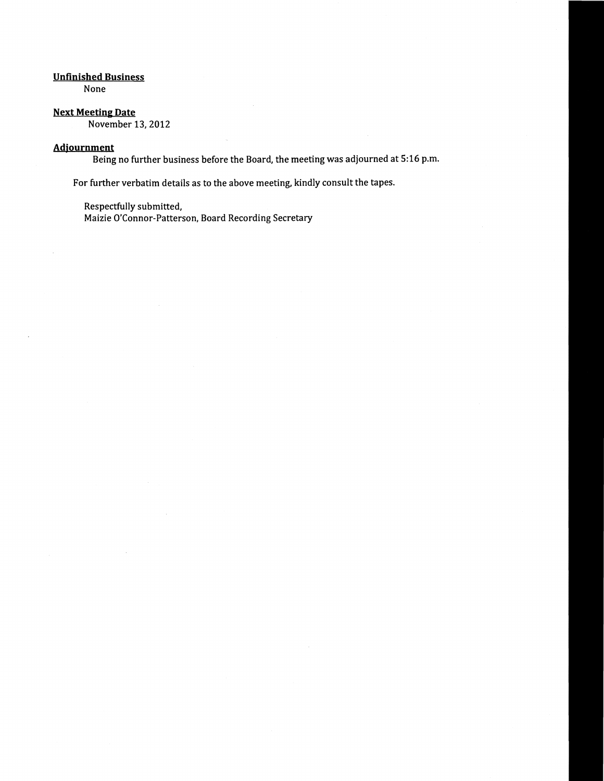# Unfinished Business

None

# Next Meeting Date

November 13, 2012

# Adjournment

Being no further business before the Board, the meeting was adjourned at 5:16 p.m.

For further verbatim details as to the above meeting, kindly consult the tapes.

Respectfully submitted,

Maizie O'Connor-Patterson, Board Recording Secretary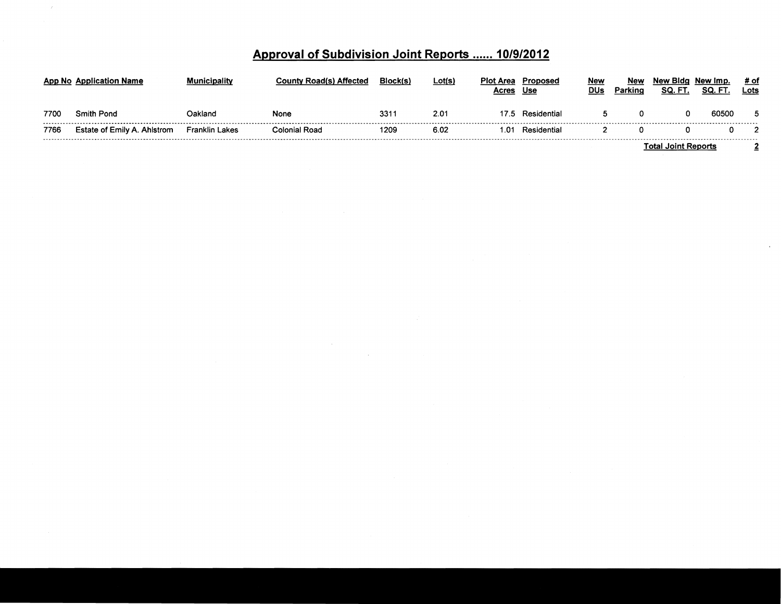|  | Approval of Subdivision Joint Reports  10/9/2012 |  |
|--|--------------------------------------------------|--|
|  |                                                  |  |

|      | App No Application Name     | nicipalitv            | ν Road(s) Affected | Block(s) | Lot(s) | Plot Area<br>Acres | Proposed<br>Use | Nev<br>DUs         | New<br>Parking | New Bida<br>SQ. F | New Imp.<br>SQ.<br>FT | # of<br>Lots |  |
|------|-----------------------------|-----------------------|--------------------|----------|--------|--------------------|-----------------|--------------------|----------------|-------------------|-----------------------|--------------|--|
| 7700 | <b>Smith Pond</b>           | Dakland               | None               | 331      | 2.01   | 17.5               | Residential     |                    | 0              |                   | 60500                 |              |  |
| 7766 | Estate of Emily A. Ahlstrom | <b>Franklin Lakes</b> | Colonial Road      | 1209     | 6.02   | .01                | Residential     |                    |                |                   |                       |              |  |
|      |                             |                       |                    |          |        |                    |                 | Tatal Jaint Danada |                |                   |                       |              |  |

 $\sim 10^7$ 

Total Joint Reports 2